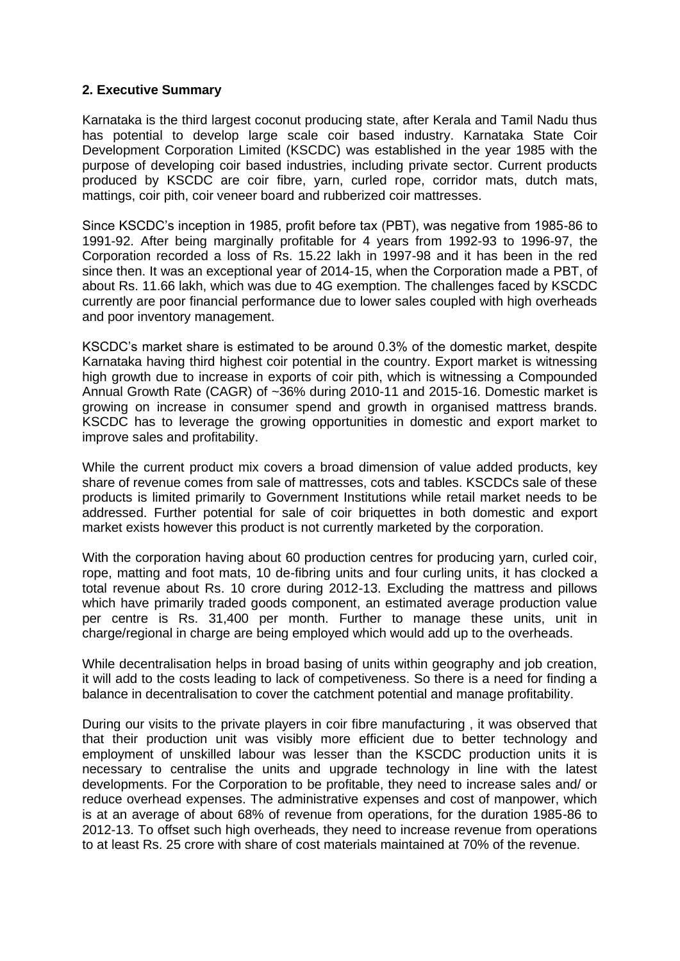## **2. Executive Summary**

Karnataka is the third largest coconut producing state, after Kerala and Tamil Nadu thus has potential to develop large scale coir based industry. Karnataka State Coir Development Corporation Limited (KSCDC) was established in the year 1985 with the purpose of developing coir based industries, including private sector. Current products produced by KSCDC are coir fibre, yarn, curled rope, corridor mats, dutch mats, mattings, coir pith, coir veneer board and rubberized coir mattresses.

Since KSCDC's inception in 1985, profit before tax (PBT), was negative from 1985-86 to 1991-92. After being marginally profitable for 4 years from 1992-93 to 1996-97, the Corporation recorded a loss of Rs. 15.22 lakh in 1997-98 and it has been in the red since then. It was an exceptional year of 2014-15, when the Corporation made a PBT, of about Rs. 11.66 lakh, which was due to 4G exemption. The challenges faced by KSCDC currently are poor financial performance due to lower sales coupled with high overheads and poor inventory management.

KSCDC's market share is estimated to be around 0.3% of the domestic market, despite Karnataka having third highest coir potential in the country. Export market is witnessing high growth due to increase in exports of coir pith, which is witnessing a Compounded Annual Growth Rate (CAGR) of ~36% during 2010-11 and 2015-16. Domestic market is growing on increase in consumer spend and growth in organised mattress brands. KSCDC has to leverage the growing opportunities in domestic and export market to improve sales and profitability.

While the current product mix covers a broad dimension of value added products, key share of revenue comes from sale of mattresses, cots and tables. KSCDCs sale of these products is limited primarily to Government Institutions while retail market needs to be addressed. Further potential for sale of coir briquettes in both domestic and export market exists however this product is not currently marketed by the corporation.

With the corporation having about 60 production centres for producing yarn, curled coir, rope, matting and foot mats, 10 de-fibring units and four curling units, it has clocked a total revenue about Rs. 10 crore during 2012-13. Excluding the mattress and pillows which have primarily traded goods component, an estimated average production value per centre is Rs. 31,400 per month. Further to manage these units, unit in charge/regional in charge are being employed which would add up to the overheads.

While decentralisation helps in broad basing of units within geography and job creation, it will add to the costs leading to lack of competiveness. So there is a need for finding a balance in decentralisation to cover the catchment potential and manage profitability.

During our visits to the private players in coir fibre manufacturing , it was observed that that their production unit was visibly more efficient due to better technology and employment of unskilled labour was lesser than the KSCDC production units it is necessary to centralise the units and upgrade technology in line with the latest developments. For the Corporation to be profitable, they need to increase sales and/ or reduce overhead expenses. The administrative expenses and cost of manpower, which is at an average of about 68% of revenue from operations, for the duration 1985-86 to 2012-13. To offset such high overheads, they need to increase revenue from operations to at least Rs. 25 crore with share of cost materials maintained at 70% of the revenue.